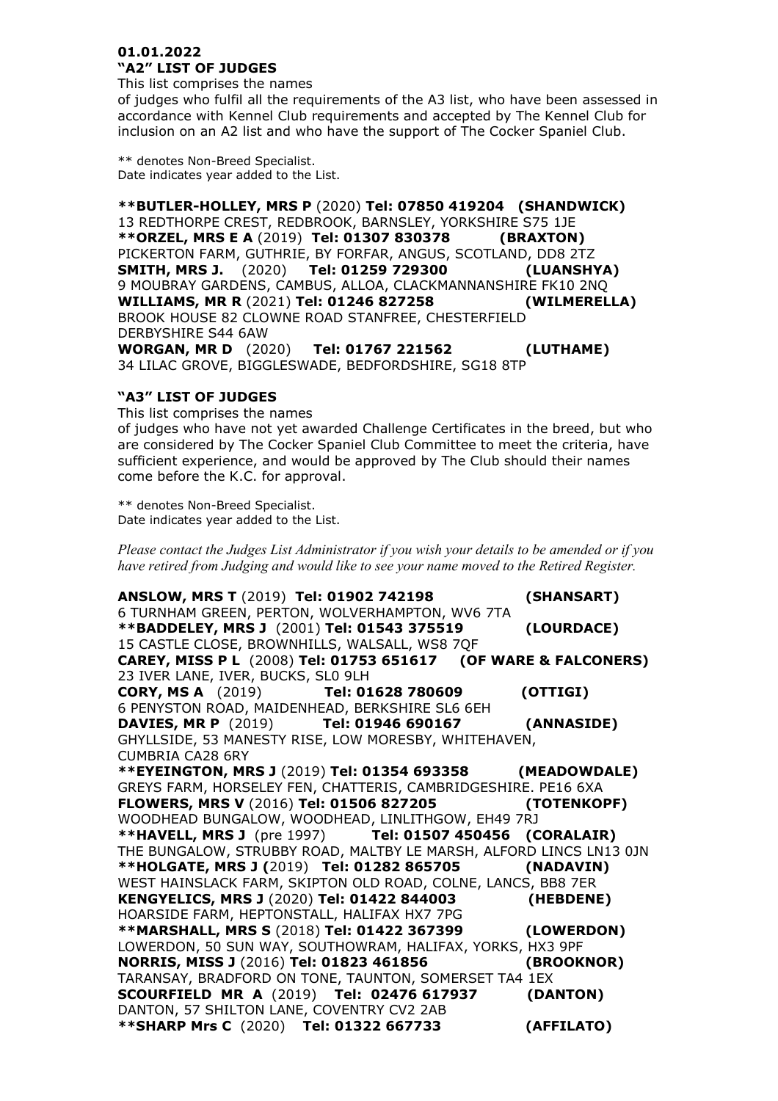## **01.01.2022 "A2" LIST OF JUDGES**

This list comprises the names

of judges who fulfil all the requirements of the A3 list, who have been assessed in accordance with Kennel Club requirements and accepted by The Kennel Club for inclusion on an A2 list and who have the support of The Cocker Spaniel Club.

\*\* denotes Non-Breed Specialist. Date indicates year added to the List.

**\*\*BUTLER-HOLLEY, MRS P** (2020) **Tel: 07850 419204 (SHANDWICK)** 13 REDTHORPE CREST, REDBROOK, BARNSLEY, YORKSHIRE S75 1JE **\*\*ORZEL, MRS E A** (2019) **Tel: 01307 830378 (BRAXTON)**  PICKERTON FARM, GUTHRIE, BY FORFAR, ANGUS, SCOTLAND, DD8 2TZ **SMITH, MRS J.** (2020) **Tel: 01259 729300 (LUANSHYA)** 9 MOUBRAY GARDENS, CAMBUS, ALLOA, CLACKMANNANSHIRE FK10 2NQ<br>WILLIAMS, MR R (2021) Tel: 01246 827258 (WILMERELLA) **WILLIAMS, MR R (2021) Tel: 01246 827258** BROOK HOUSE 82 CLOWNE ROAD STANFREE, CHESTERFIELD DERBYSHIRE S44 6AW **WORGAN, MR D** (2020) **Tel: 01767 221562 (LUTHAME)** 34 LILAC GROVE, BIGGLESWADE, BEDFORDSHIRE, SG18 8TP

## **"A3" LIST OF JUDGES**

This list comprises the names

of judges who have not yet awarded Challenge Certificates in the breed, but who are considered by The Cocker Spaniel Club Committee to meet the criteria, have sufficient experience, and would be approved by The Club should their names come before the K.C. for approval.

\*\* denotes Non-Breed Specialist. Date indicates year added to the List.

*Please contact the Judges List Administrator if you wish your details to be amended or if you have retired from Judging and would like to see your name moved to the Retired Register.*

**ANSLOW, MRS T** (2019) **Tel: 01902 742198 (SHANSART)** 6 TURNHAM GREEN, PERTON, WOLVERHAMPTON, WV6 7TA **\*\*BADDELEY, MRS J** (2001) **Tel: 01543 375519 (LOURDACE)** 15 CASTLE CLOSE, BROWNHILLS, WALSALL, WS8 7QF **CAREY, MISS P L** (2008) **Tel: 01753 651617 (OF WARE & FALCONERS)** 23 IVER LANE, IVER, BUCKS, SL0 9LH **CORY, MS A** (2019) **Tel: 01628 780609 (OTTIGI)** 6 PENYSTON ROAD, MAIDENHEAD, BERKSHIRE SL6 6EH **DAVIES, MR P** (2019) **Tel: 01946 690167 (ANNASIDE)** GHYLLSIDE, 53 MANESTY RISE, LOW MORESBY, WHITEHAVEN, CUMBRIA CA28 6RY **\*\*EYEINGTON, MRS J** (2019) **Tel: 01354 693358 (MEADOWDALE)**  GREYS FARM, HORSELEY FEN, CHATTERIS, CAMBRIDGESHIRE. PE16 6XA **FLOWERS, MRS V** (2016) **Tel: 01506 827205 (TOTENKOPF)**  WOODHEAD BUNGALOW, WOODHEAD, LINLITHGOW, EH49 7RJ **\*\*HAVELL, MRS J** (pre 1997) **Tel: 01507 450456 (CORALAIR)** THE BUNGALOW, STRUBBY ROAD, MALTBY LE MARSH, ALFORD LINCS LN13 0JN **\*\*HOLGATE, MRS J (**2019) **Tel: 01282 865705 (NADAVIN)** WEST HAINSLACK FARM, SKIPTON OLD ROAD, COLNE, LANCS, BB8 7ER **KENGYELICS, MRS J** (2020) **Tel: 01422 844003 (HEBDENE)**  HOARSIDE FARM, HEPTONSTALL, HALIFAX HX7 7PG **\*\*MARSHALL, MRS S** (2018) **Tel: 01422 367399 (LOWERDON)** LOWERDON, 50 SUN WAY, SOUTHOWRAM, HALIFAX, YORKS, HX3 9PF **NORRIS, MISS J** (2016) **Tel: 01823 461856 (BROOKNOR)** TARANSAY, BRADFORD ON TONE, TAUNTON, SOMERSET TA4 1EX **SCOURFIELD MR A** (2019) **Tel: 02476 617937 (DANTON)** DANTON, 57 SHILTON LANE, COVENTRY CV2 2AB **\*\*SHARP Mrs C** (2020) **Tel: 01322 667733 (AFFILATO)**